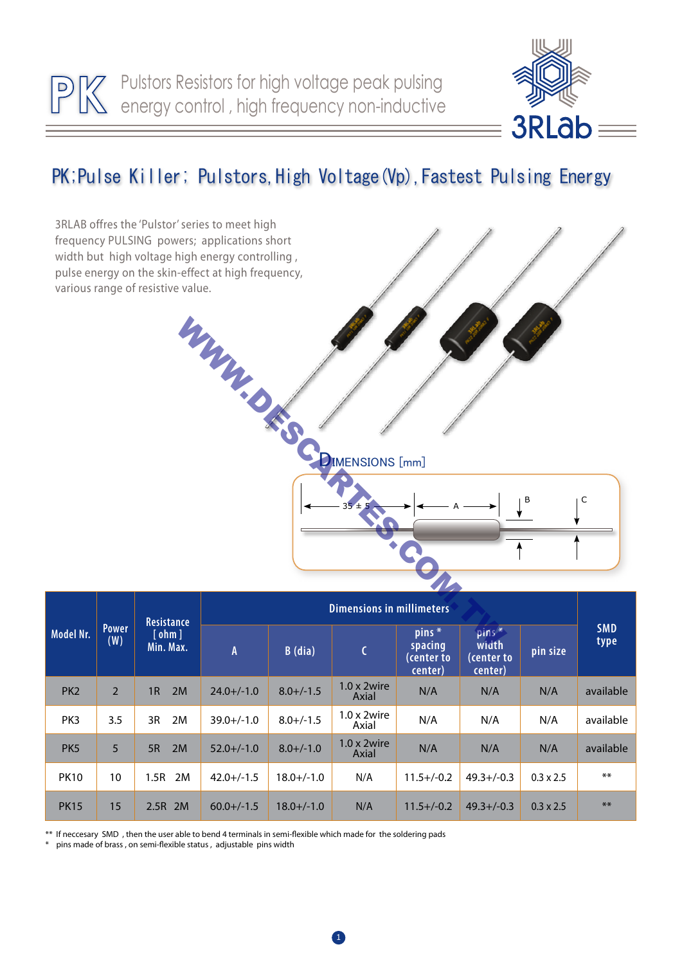

## PK; Pulse Killer; Pulstors, High Voltage(Vp), Fastest Pulsing Energy



\*\* If neccesary SMD , then the user able to bend 4 terminals in semi-flexible which made for the soldering pads

pins made of brass , on semi-flexible status , adjustable pins width

PK15 15 2.5R 2M 60.0+/-1.5 18.0+/-1.0 N/A 11.5+/-0.2 49.3+/-0.3 0.3 x 2.5 \*\*